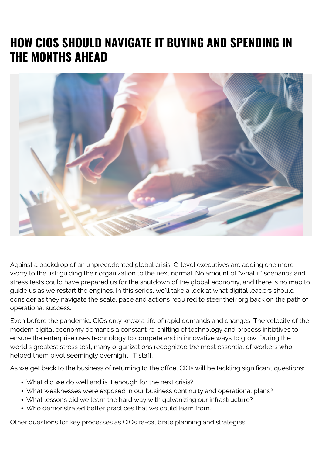# **HOW CIOS SHOULD NAVIGATE IT BUYING AND SPENDING IN THE MONTHS AHEAD**



Against a backdrop of an unprecedented global crisis, C-level executives are adding one more worry to the list: guiding their organization to the next normal. No amount of "what if" scenarios and stress tests could have prepared us for the shutdown of the global economy, and there is no map to guide us as we restart the engines. In this series, we'll take a look at what digital leaders should consider as they navigate the scale, pace and actions required to steer their org back on the path of operational success.

Even before the pandemic, CIOs only knew a life of rapid demands and changes. The velocity of the modern digital economy demands a constant re-shifting of technology and process initiatives to ensure the enterprise uses technology to compete and in innovative ways to grow. During the world's greatest stress test, many organizations recognized the most essential of workers who helped them pivot seemingly overnight: IT staff.

As we get back to the business of returning to the offce, CIOs will be tackling significant questions:

- What did we do well and is it enough for the next crisis?
- What weaknesses were exposed in our business continuity and operational plans?
- What lessons did we learn the hard way with galvanizing our infrastructure?
- Who demonstrated better practices that we could learn from?

Other questions for key processes as CIOs re-calibrate planning and strategies: